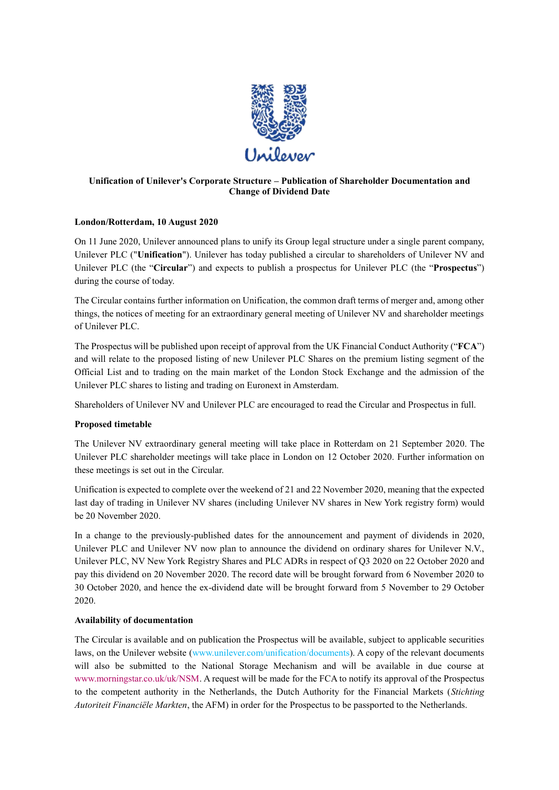

# **Unification of Unilever's Corporate Structure – Publication of Shareholder Documentation and Change of Dividend Date**

# **London/Rotterdam, 10 August 2020**

On 11 June 2020, Unilever announced plans to unify its Group legal structure under a single parent company, Unilever PLC ("**Unification**"). Unilever has today published a circular to shareholders of Unilever NV and Unilever PLC (the "**Circular**") and expects to publish a prospectus for Unilever PLC (the "**Prospectus**") during the course of today.

The Circular contains further information on Unification, the common draft terms of merger and, among other things, the notices of meeting for an extraordinary general meeting of Unilever NV and shareholder meetings of Unilever PLC.

The Prospectus will be published upon receipt of approval from the UK Financial Conduct Authority ("**FCA**") and will relate to the proposed listing of new Unilever PLC Shares on the premium listing segment of the Official List and to trading on the main market of the London Stock Exchange and the admission of the Unilever PLC shares to listing and trading on Euronext in Amsterdam.

Shareholders of Unilever NV and Unilever PLC are encouraged to read the Circular and Prospectus in full.

# **Proposed timetable**

The Unilever NV extraordinary general meeting will take place in Rotterdam on 21 September 2020. The Unilever PLC shareholder meetings will take place in London on 12 October 2020. Further information on these meetings is set out in the Circular.

Unification is expected to complete over the weekend of 21 and 22 November 2020, meaning that the expected last day of trading in Unilever NV shares (including Unilever NV shares in New York registry form) would be 20 November 2020.

In a change to the previously-published dates for the announcement and payment of dividends in 2020, Unilever PLC and Unilever NV now plan to announce the dividend on ordinary shares for Unilever N.V., Unilever PLC, NV New York Registry Shares and PLC ADRs in respect of Q3 2020 on 22 October 2020 and pay this dividend on 20 November 2020. The record date will be brought forward from 6 November 2020 to 30 October 2020, and hence the ex-dividend date will be brought forward from 5 November to 29 October 2020.

### **Availability of documentation**

The Circular is available and on publication the Prospectus will be available, subject to applicable securities laws, on the Unilever website (www.unilever.com/unification/documents). A copy of the relevant documents will also be submitted to the National Storage Mechanism and will be available in due course at [www.morningstar.co.uk/uk/NSM.](http://www.morningstar.co.uk/uk/NSM) A request will be made for the FCA to notify its approval of the Prospectus to the competent authority in the Netherlands, the Dutch Authority for the Financial Markets (*Stichting Autoriteit Financiële Markten*, the AFM) in order for the Prospectus to be passported to the Netherlands.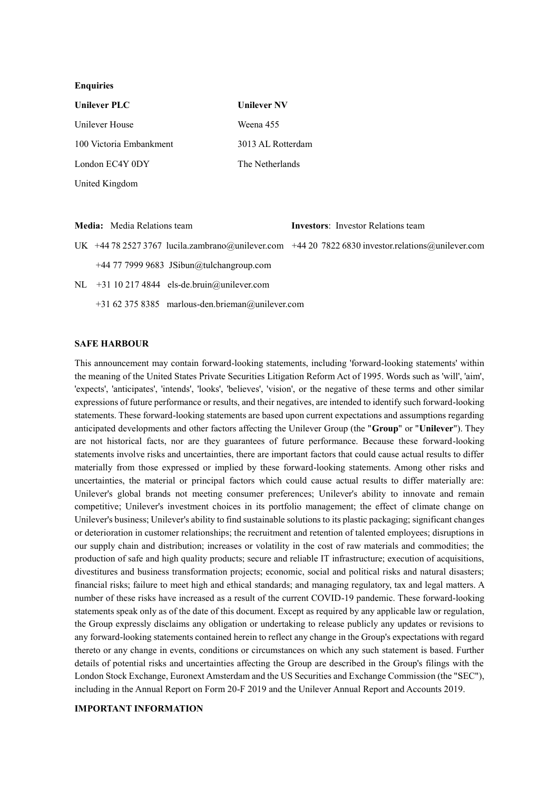#### **Enquiries**

| <b>Unilever PLC</b>     | <b>Unilever NV</b> |
|-------------------------|--------------------|
| Unilever House          | Weena 455          |
| 100 Victoria Embankment | 3013 AL Rotterdam  |
| London EC4Y 0DY         | The Netherlands    |
| United Kingdom          |                    |

**Media:** Media Relations team **Investors**: Investor Relations team UK +44 78 2527 3767 [lucila.zambrano@unilever.com](mailto:lucila.zambrano@unilever.com) +44 20 7822 683[0 investor.relations@unilever.com](mailto:investor.relations@unilever.com) +44 77 7999 9683 [JSibun@tulchangroup.com](mailto:JSibun@tulchangroup.com) NL +31 10 217 4844 [els-de.bruin@unilever.com](mailto:els-de.bruin@unilever.com) +31 62 375 8385 [marlous-den.brieman@unilever.com](mailto:marlous-den.brieman@unilever.com)

#### **SAFE HARBOUR**

This announcement may contain forward-looking statements, including 'forward-looking statements' within the meaning of the United States Private Securities Litigation Reform Act of 1995. Words such as 'will', 'aim', 'expects', 'anticipates', 'intends', 'looks', 'believes', 'vision', or the negative of these terms and other similar expressions of future performance or results, and their negatives, are intended to identify such forward-looking statements. These forward-looking statements are based upon current expectations and assumptions regarding anticipated developments and other factors affecting the Unilever Group (the "**Group**" or "**Unilever**"). They are not historical facts, nor are they guarantees of future performance. Because these forward-looking statements involve risks and uncertainties, there are important factors that could cause actual results to differ materially from those expressed or implied by these forward-looking statements. Among other risks and uncertainties, the material or principal factors which could cause actual results to differ materially are: Unilever's global brands not meeting consumer preferences; Unilever's ability to innovate and remain competitive; Unilever's investment choices in its portfolio management; the effect of climate change on Unilever's business; Unilever's ability to find sustainable solutions to its plastic packaging; significant changes or deterioration in customer relationships; the recruitment and retention of talented employees; disruptions in our supply chain and distribution; increases or volatility in the cost of raw materials and commodities; the production of safe and high quality products; secure and reliable IT infrastructure; execution of acquisitions, divestitures and business transformation projects; economic, social and political risks and natural disasters; financial risks; failure to meet high and ethical standards; and managing regulatory, tax and legal matters. A number of these risks have increased as a result of the current COVID-19 pandemic. These forward-looking statements speak only as of the date of this document. Except as required by any applicable law or regulation, the Group expressly disclaims any obligation or undertaking to release publicly any updates or revisions to any forward-looking statements contained herein to reflect any change in the Group's expectations with regard thereto or any change in events, conditions or circumstances on which any such statement is based. Further details of potential risks and uncertainties affecting the Group are described in the Group's filings with the London Stock Exchange, Euronext Amsterdam and the US Securities and Exchange Commission (the "SEC"), including in the Annual Report on Form 20-F 2019 and the Unilever Annual Report and Accounts 2019.

## **IMPORTANT INFORMATION**